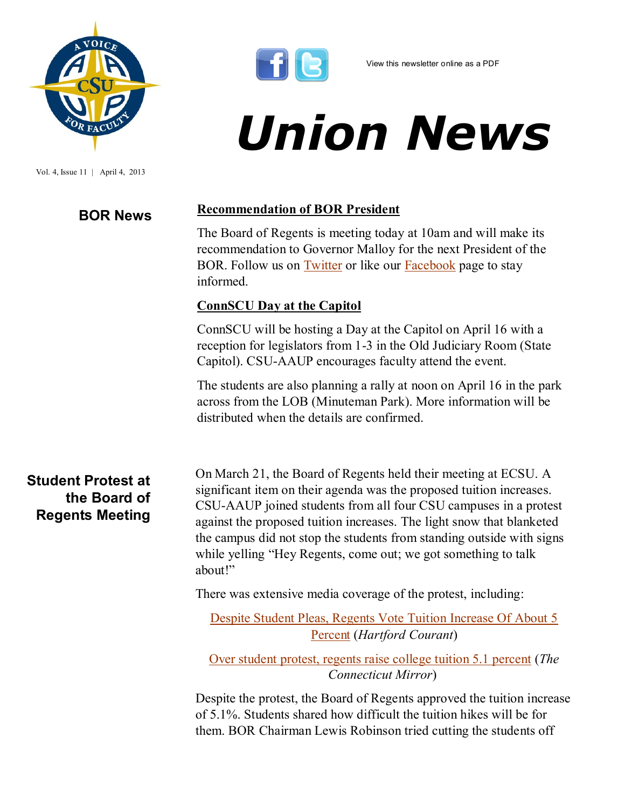

Vol. 4, Issue 11 | April 4, 2013



# *Union News*

## **BOR News Recommendation of BOR President**

The Board of Regents is meeting today at 10am and will make its recommendation to Governor Malloy for the next President of the BOR. Follow us on [Twitter](http://twitter.com/#!/csuaaup/) or like our [Facebook](https://www.facebook.com/pages/CSU-AAUP/112907808749535?ref=hl) page to stay informed.

### **ConnSCU Day at the Capitol**

ConnSCU will be hosting a Day at the Capitol on April 16 with a reception for legislators from 1-3 in the Old Judiciary Room (State Capitol). CSU-AAUP encourages faculty attend the event.

The students are also planning a rally at noon on April 16 in the park across from the LOB (Minuteman Park). More information will be distributed when the details are confirmed.

**Student Protest at the Board of Regents Meeting** On March 21, the Board of Regents held their meeting at ECSU. A significant item on their agenda was the proposed tuition increases. CSU-AAUP joined students from all four CSU campuses in a protest against the proposed tuition increases. The light snow that blanketed the campus did not stop the students from standing outside with signs while yelling "Hey Regents, come out; we got something to talk about!"

There was extensive media coverage of the protest, including:

[Despite Student Pleas, Regents Vote Tuition Increase Of About 5](http://t.co/vsOxsnSZak)  [Percent](http://t.co/vsOxsnSZak) (*Hartford Courant*)

[Over student protest, regents raise college tuition 5.1 percent](http://t.co/CrqEPGhvAK) (*The Connecticut Mirror*)

Despite the protest, the Board of Regents approved the tuition increase of 5.1%. Students shared how difficult the tuition hikes will be for them. BOR Chairman Lewis Robinson tried cutting the students off